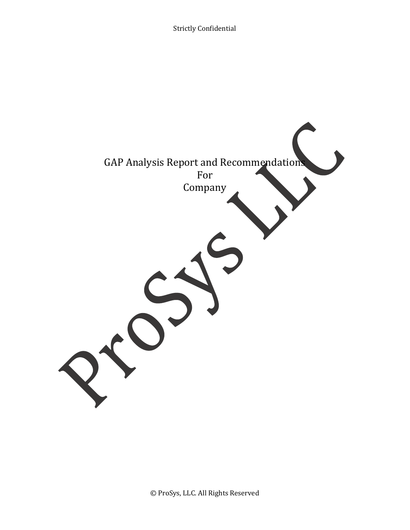Strictly Confidential

|  | For<br>Company | <b>GAP Analysis Report and Recommendations</b> |  |
|--|----------------|------------------------------------------------|--|
|  |                |                                                |  |
|  |                |                                                |  |
|  |                |                                                |  |
|  |                |                                                |  |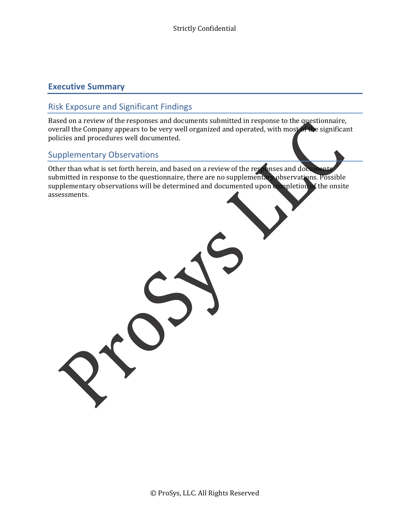### **Executive Summary**

### Risk Exposure and Significant Findings

Based on a review of the responses and documents submitted in response to the questionnaire, overall the Company appears to be very well organized and operated, with most of the significant policies and procedures well documented.

### Supplementary Observations

Other than what is set forth herein, and based on a review of the responses and docum submitted in response to the questionnaire, there are no supplementary observations. Possible supplementary observations will be determined and documented upon completion of the onsite assessments.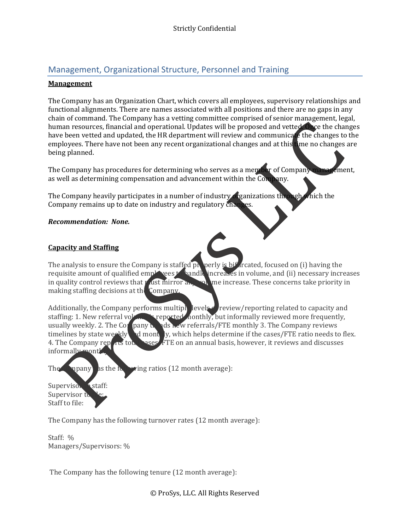## Management, Organizational Structure, Personnel and Training

#### **Management**

The Company has an Organization Chart, which covers all employees, supervisory relationships and functional alignments. There are names associated with all positions and there are no gaps in any chain of command. The Company has a vetting committee comprised of senior management, legal, human resources, financial and operational. Updates will be proposed and vetted. Once the changes have been vetted and updated, the HR department will review and communicate the changes to the employees. There have not been any recent organizational changes and at this time no changes are being planned.

The Company has procedures for determining who serves as a member of Company management, as well as determining compensation and advancement within the Company.

The Company heavily participates in a number of industry  $\alpha$  ganizations through which the Company remains up to date on industry and regulatory changes.

#### *Recommendation: None.*

#### **Capacity and Staffing**

The analysis to ensure the Company is staffed properly is bifurcated, focused on (i) having the requisite amount of qualified  $\epsilon$ mployees to handle increases in volume, and (ii) necessary increases in quality control reviews that  $\gamma$  ust mirror and  $\gamma$  me increase. These concerns take priority in making staffing decisions at the Company.

Additionally, the Company performs multiplexiels review/reporting related to capacity and staffing: 1. New referral volume is reported monthly, but informally reviewed more frequently, usually weekly. 2. The Company  $\mathbf{h}$  and  $\mathbf{h}$  and  $\mathbf{h}$  referrals/FTE monthly 3. The Company reviews timelines by state weekly and monthly, which helps determine if the cases/FTE ratio needs to flex.<br>4. The Company reparts to the sases FTE on an annual basis, however, it reviews and discusses  $\text{PSE}$   $\text{FTE}$  on an annual basis, however, it reviews and discusses informally month.

The  $\Box$  mpany  $\Box$  as the  $\Box$   $\Box$   $\Diamond$  ratios (12 month average):

Supervisor Staff: Supervisor to Staff to file:

The Company has the following turnover rates (12 month average):

Staff: % Managers/Supervisors: %

The Company has the following tenure (12 month average):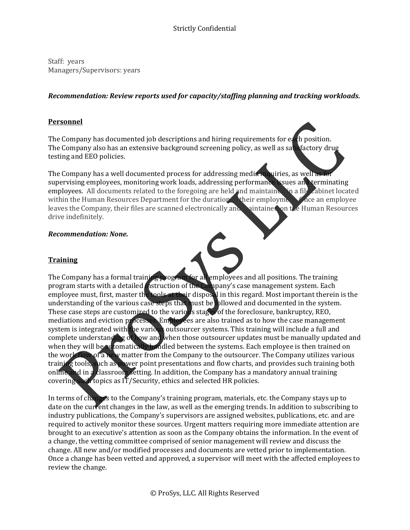Staff: years Managers/Supervisors: years

### *Recommendation: Review reports used for capacity/staffing planning and tracking workloads.*

### **Personnel**

The Company has documented job descriptions and hiring requirements for each position. The Company also has an extensive background screening policy, as well as satisfactory drug testing and EEO policies.

The Company has a well documented process for addressing media inquiries, as well a supervising employees, monitoring work loads, addressing performance issues and terminating employees. All documents related to the foregoing are held and maintained in a file cabinet located within the Human Resources Department for the duration wheir employment are an employee leaves the Company, their files are scanned electronically and anticine on the Human Resources leaves the Company, their files are scanned electronically and drive indefinitely.

#### *Recommendation: None.*

### **Training**

The Company has a formal training program for all employees and all positions. The training program starts with a detailed **instruction of the Company's case management system.** Each employee must, first, master the **tools at their disposal** in this regard. Most important therein is the understanding of the various case steps that must be followed and documented in the system. These case steps are customized to the various stages of the foreclosure, bankruptcy, REO, mediations and eviction processes. Employees are also trained as to how the case management system is integrated with the various outsourcer systems. This training will include a full and complete understanding of how and when those outsourcer updates must be manually updated and when they will be automatically handled between the systems. Each employee is then trained on the work flow of a new matter from the Company to the outsourcer. The Company utilizes various training tools, such as power point presentations and flow charts, and provides such training both online and in a classroom setting. In addition, the Company has a mandatory annual training covering such topics as  $I\overline{T}/S$  ecurity, ethics and selected HR policies.

In terms of changes to the Company's training program, materials, etc. the Company stays up to date on the current changes in the law, as well as the emerging trends. In addition to subscribing to industry publications, the Company's supervisors are assigned websites, publications, etc. and are required to actively monitor these sources. Urgent matters requiring more immediate attention are brought to an executive's attention as soon as the Company obtains the information. In the event of a change, the vetting committee comprised of senior management will review and discuss the change. All new and/or modified processes and documents are vetted prior to implementation. Once a change has been vetted and approved, a supervisor will meet with the affected employees to review the change.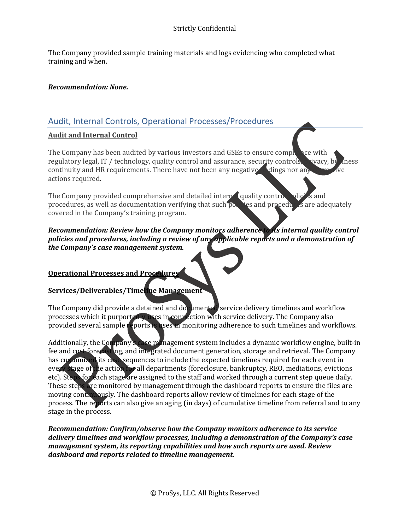The Company provided sample training materials and logs evidencing who completed what training and when.

#### *Recommendation: None.*

### Audit, Internal Controls, Operational Processes/Procedures

#### **Audit and Internal Control**

The Company has been audited by various investors and GSEs to ensure  $\text{compl}$  are with regulatory legal, IT / technology, quality control and assurance, security controls, vivacy, by mess continuity and HR requirements. There have not been any negative  $\chi$  dings nor any actions required.

The Company provided comprehensive and detailed interpolicial quality control  $\chi$  olicies and procedures, as well as documentation verifying that such  $\overline{p}$  ies and procedures are adequately covered in the Company's training program.

#### *Recommendation: Review how the Company monitors adherence to its internal quality control policies and procedures, including a review of any applicable reports and a demonstration of the Company's case management system.*

#### **Operational Processes and Procedures**

#### **Services/Deliverables/Timeline Management**

The Company did provide a detained and documented service delivery timelines and workflow processes which it purportedly uses in connection with service delivery. The Company also provided several sample reports is uses in monitoring adherence to such timelines and workflows.

Additionally, the Company's case management system includes a dynamic workflow engine, built-in fee and cost forecasting, and integrated document generation, storage and retrieval. The Company has customized its case sequences to include the expected timelines required for each event in every stage of the action for all departments (foreclosure, bankruptcy, REO, mediations, evictions etc). Steps for each stage are assigned to the staff and worked through a current step queue daily. These steps are monitored by management through the dashboard reports to ensure the files are moving continuously. The dashboard reports allow review of timelines for each stage of the process. The reports can also give an aging (in days) of cumulative timeline from referral and to any stage in the process.

*Recommendation: Confirm/observe how the Company monitors adherence to its service delivery timelines and workflow processes, including a demonstration of the Company's case management system, its reporting capabilities and how such reports are used. Review dashboard and reports related to timeline management.*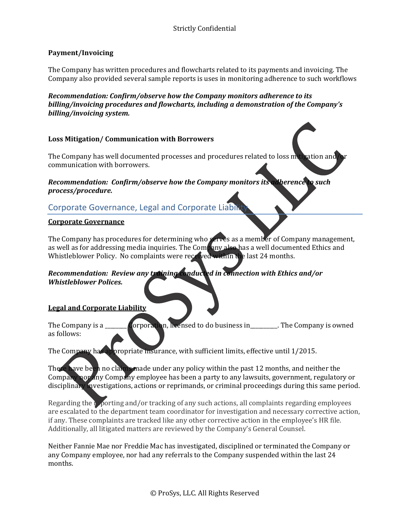### **Payment/Invoicing**

The Company has written procedures and flowcharts related to its payments and invoicing. The Company also provided several sample reports is uses in monitoring adherence to such workflows

*Recommendation: Confirm/observe how the Company monitors adherence to its billing/invoicing procedures and flowcharts, including a demonstration of the Company's billing/invoicing system.*

#### **Loss Mitigation/ Communication with Borrowers**

The Company has well documented processes and procedures related to loss multipation and  $\Delta r$ communication with borrowers.

#### *Recommendation: Confirm/observe how the Company monitors its adherence to such process/procedure.*

### Corporate Governance, Legal and Corporate Liabil

#### **Corporate Governance**

The Company has procedures for determining who serves as a member of Company management, as well as for addressing media inquiries. The Company also has a well documented Ethics and Whistleblower Policy. No complaints were received within the last 24 months.

#### *Recommendation: Review any training conducted in connection with Ethics and/or Whistleblower Polices.*

#### **Legal and Corporate Liability**

The Company is a  $\Box$  Corporation, heensed to do business in  $\Box$ . The Company is owned as follows:

The Company has appropriate insurance, with sufficient limits, effective until 1/2015.

There have been no claims made under any policy within the past 12 months, and neither the Company **nor** any Company employee has been a party to any lawsuits, government, regulatory or disciplinary investigations, actions or reprimands, or criminal proceedings during this same period.

Regarding the  $\frac{1}{2}$  porting and/or tracking of any such actions, all complaints regarding employees are escalated to the department team coordinator for investigation and necessary corrective action, if any. These complaints are tracked like any other corrective action in the employee's HR file. Additionally, all litigated matters are reviewed by the Company's General Counsel.

Neither Fannie Mae nor Freddie Mac has investigated, disciplined or terminated the Company or any Company employee, nor had any referrals to the Company suspended within the last  $24$ months.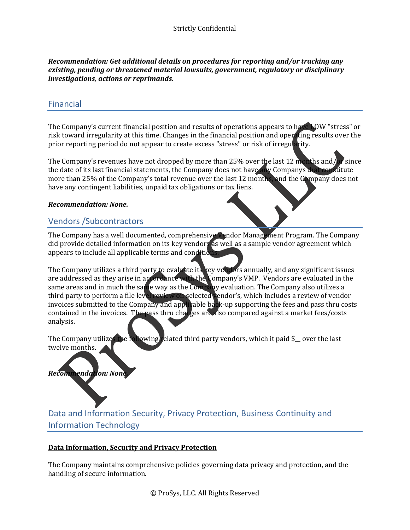*Recommendation: Get additional details on procedures for reporting and/or tracking any existing, pending or threatened material lawsuits, government, regulatory or disciplinary investigations, actions or reprimands.*

### Financial

The Company's current financial position and results of operations appears to have LOW "stress" or risk toward irregularity at this time. Changes in the financial position and operating results over the prior reporting period do not appear to create excess "stress" or risk of irregularity.

The Company's revenues have not dropped by more than 25% over the last 12 months and/or since the date of its last financial statements, the Company does not have any Companys that constitute more than 25% of the Company's total revenue over the last 12 months, and the Company does not have any contingent liabilities, unpaid tax obligations or tax liens.

#### *Recommendation: None.*

### Vendors /Subcontractors

The Company has a well documented, comprehensive Vendor Management Program. The Company did provide detailed information on its key vendors as well as a sample vendor agreement which appears to include all applicable terms and condition

The Company utilizes a third party to evaluate its key vendors annually, and any significant issues are addressed as they arise in accordance with the Company's VMP. Vendors are evaluated in the same areas and in much the same way as the Company evaluation. The Company also utilizes a third party to perform a file level review on selected vendor's, which includes a review of vendor invoices submitted to the Company and applicable back-up supporting the fees and pass thru costs contained in the invoices. The pass thru charges are also compared against a market fees/costs analysis. 

The Company utilizes the **Following** related third party vendors, which it paid  $\frac{1}{2}$  over the last twelve months.

# **Recommendation:** None

Data and Information Security, Privacy Protection, Business Continuity and Information Technology

#### **Data Information, Security and Privacy Protection**

The Company maintains comprehensive policies governing data privacy and protection, and the handling of secure information.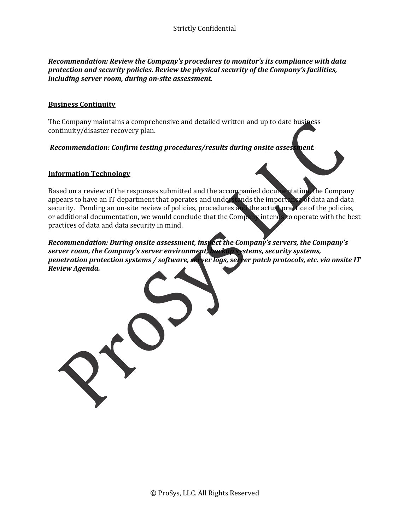*Recommendation: Review the Company's procedures to monitor's its compliance with data protection and security policies. Review the physical security of the Company's facilities, including server room, during on‐site assessment.* 

#### **Business Continuity**

The Company maintains a comprehensive and detailed written and up to date business continuity/disaster recovery plan.

*Recommendation: Confirm testing procedures/results during onsite assessment.* 

#### **Information Technology**

Based on a review of the responses submitted and the accompanied documentation, the Company appears to have an IT department that operates and understands the importance of data and data security. Pending an on-site review of policies, procedures and the actual practice of the policies, or additional documentation, we would conclude that the Company intends to operate with the best practices of data and data security in mind.

*Recommendation: During onsite assessment, inspect the Company's servers, the Company's server room, the Company's server environment, backup systems, security systems, penetration protection systems / software, server logs, server patch protocols, etc. via onsite IT Review Agenda.*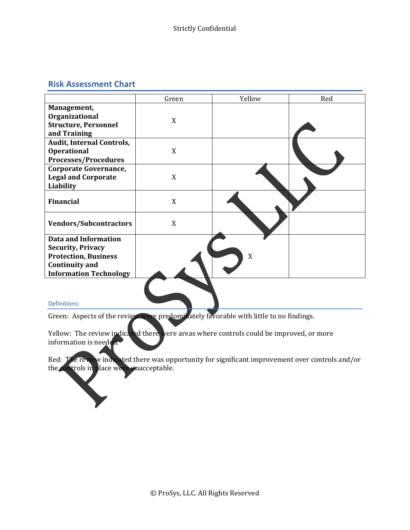### **Risk Assessment Chart**



#### Definitions:

Green: Aspects of the review were predominately favorable with little to no findings.

Yellow: The review indicated there were areas where controls could be improved, or more information is needed.

Red: The review indicated there was opportunity for significant improvement over controls and/or the controls in place were unacceptable.